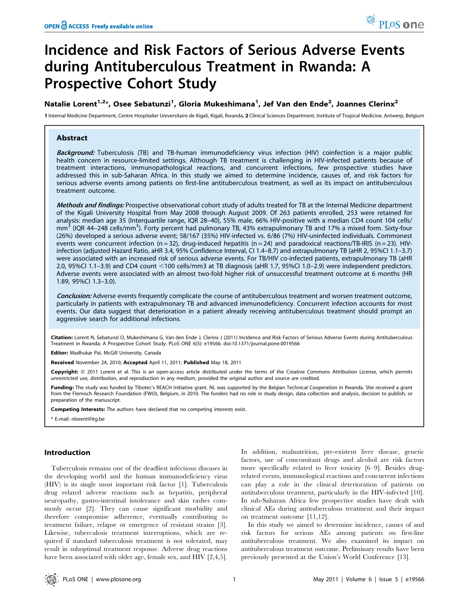# Incidence and Risk Factors of Serious Adverse Events during Antituberculous Treatment in Rwanda: A Prospective Cohort Study

Natalie Lorent<sup>1,2</sup>\*, Osee Sebatunzi<sup>1</sup>, Gloria Mukeshimana<sup>1</sup>, Jef Van den Ende<sup>2</sup>, Joannes Clerinx<sup>2</sup>

1 Internal Medicine Department, Centre Hospitalier Universitaire de Kigali, Kigali, Rwanda, 2 Clinical Sciences Department, Institute of Tropical Medicine, Antwerp, Belgium

# Abstract

Background: Tuberculosis (TB) and TB-human immunodeficiency virus infection (HIV) coinfection is a major public health concern in resource-limited settings. Although TB treatment is challenging in HIV-infected patients because of treatment interactions, immunopathological reactions, and concurrent infections, few prospective studies have addressed this in sub-Saharan Africa. In this study we aimed to determine incidence, causes of, and risk factors for serious adverse events among patients on first-line antituberculous treatment, as well as its impact on antituberculous treatment outcome.

Methods and findings: Prospective observational cohort study of adults treated for TB at the Internal Medicine department of the Kigali University Hospital from May 2008 through August 2009. Of 263 patients enrolled, 253 were retained for analysis: median age 35 (Interquartile range, IQR 28–40), 55% male, 66% HIV-positive with a median CD4 count 104 cells/ mm<sup>3</sup> (IQR 44–248 cells/mm<sup>3</sup>). Forty percent had pulmonary TB, 43% extrapulmonary TB and 17% a mixed form. Sixty-four (26%) developed a serious adverse event; 58/167 (35%) HIV-infected vs. 6/86 (7%) HIV-uninfected individuals. Commonest events were concurrent infection (n = 32), drug-induced hepatitis (n = 24) and paradoxical reactions/TB-IRIS (n = 23). HIVinfection (adjusted Hazard Ratio, aHR 3.4, 95% Confidence Interval, CI 1.4–8.7) and extrapulmonary TB (aHR 2, 95%CI 1.1–3.7) were associated with an increased risk of serious adverse events. For TB/HIV co-infected patients, extrapulmonary TB (aHR 2.0, 95%CI 1.1-3.9) and CD4 count <100 cells/mm3 at TB diagnosis (aHR 1.7, 95%CI 1.0-2.9) were independent predictors. Adverse events were associated with an almost two-fold higher risk of unsuccessful treatment outcome at 6 months (HR 1.89, 95%CI 1.3–3.0).

Conclusion: Adverse events frequently complicate the course of antituberculous treatment and worsen treatment outcome, particularly in patients with extrapulmonary TB and advanced immunodeficiency. Concurrent infection accounts for most events. Our data suggest that deterioration in a patient already receiving antituberculous treatment should prompt an aggressive search for additional infections.

Citation: Lorent N, Sebatunzi O, Mukeshimana G, Van den Ende J, Clerinx J (2011) Incidence and Risk Factors of Serious Adverse Events during Antituberculous Treatment in Rwanda: A Prospective Cohort Study. PLoS ONE 6(5): e19566. doi:10.1371/journal.pone.0019566

Editor: Madhukar Pai, McGill University, Canada

Received November 24, 2010; Accepted April 11, 2011; Published May 18, 2011

Copyright: © 2011 Lorent et al. This is an open-access article distributed under the terms of the Creative Commons Attribution License, which permits unrestricted use, distribution, and reproduction in any medium, provided the original author and source are credited.

Funding: The study was funded by Tibotec's REACH Initiative grant. NL was supported by the Belgian Technical Cooperation in Rwanda. She received a grant from the Flemisch Research Foundation (FWO), Belgium, in 2010. The funders had no role in study design, data collection and analysis, decision to publish, or preparation of the manuscript.

Competing Interests: The authors have declared that no competing interests exist.

\* E-mail: nlorent@itg.be

# Introduction

Tuberculosis remains one of the deadliest infectious diseases in the developing world and the human immunodeficiency virus (HIV) is its single most important risk factor [1]. Tuberculosis drug related adverse reactions such as hepatitis, peripheral neuropathy, gastro-intestinal intolerance and skin rashes commonly occur [2]. They can cause significant morbidity and therefore compromise adherence, eventually contributing to treatment failure, relapse or emergence of resistant strains [3]. Likewise, tuberculosis treatment interruptions, which are required if standard tuberculosis treatment is not tolerated, may result in suboptimal treatment response. Adverse drug reactions have been associated with older age, female sex, and HIV [2,4,5].

In addition, malnutrition, pre-existent liver disease, genetic factors, use of concomitant drugs and alcohol are risk factors more specifically related to liver toxicity [6–9]. Besides drugrelated events, immunological reactions and concurrent infections can play a role in the clinical deterioration of patients on antituberculous treatment, particularly in the HIV-infected [10]. In sub-Saharan Africa few prospective studies have dealt with clinical AEs during antituberculous treatment and their impact on treatment outcome [11,12].

In this study we aimed to determine incidence, causes of and risk factors for serious AEs among patients on first-line antituberculous treatment. We also examined its impact on antituberculous treatment outcome. Preliminary results have been previously presented at the Union's World Conference [13].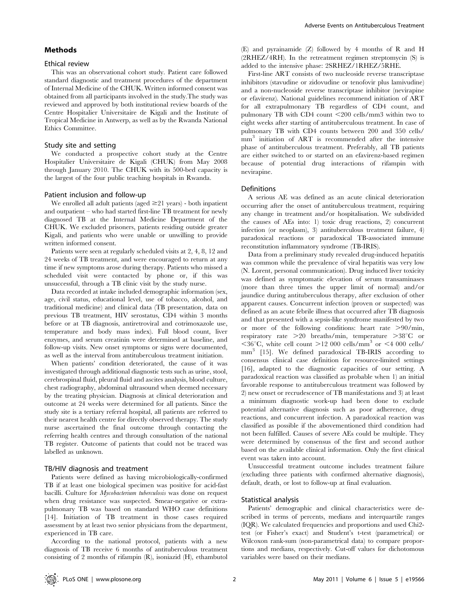# Methods

## Ethical review

This was an observational cohort study. Patient care followed standard diagnostic and treatment procedures of the department of Internal Medicine of the CHUK. Written informed consent was obtained from all participants involved in the study.The study was reviewed and approved by both institutional review boards of the Centre Hospitalier Universitaire de Kigali and the Institute of Tropical Medicine in Antwerp, as well as by the Rwanda National Ethics Committee.

# Study site and setting

We conducted a prospective cohort study at the Centre Hospitalier Universitaire de Kigali (CHUK) from May 2008 through January 2010. The CHUK with its 500-bed capacity is the largest of the four public teaching hospitals in Rwanda.

## Patient inclusion and follow-up

We enrolled all adult patients (aged  $\geq$  21 years) - both inpatient and outpatient – who had started first-line TB treatment for newly diagnosed TB at the Internal Medicine Department of the CHUK. We excluded prisoners, patients residing outside greater Kigali, and patients who were unable or unwilling to provide written informed consent.

Patients were seen at regularly scheduled visits at 2, 4, 8, 12 and 24 weeks of TB treatment, and were encouraged to return at any time if new symptoms arose during therapy. Patients who missed a scheduled visit were contacted by phone or, if this was unsuccessful, through a TB clinic visit by the study nurse.

Data recorded at intake included demographic information (sex, age, civil status, educational level, use of tobacco, alcohol, and traditional medicine) and clinical data (TB presentation, data on previous TB treatment, HIV serostatus, CD4 within 3 months before or at TB diagnosis, antiretroviral and cotrimoxazole use, temperature and body mass index). Full blood count, liver enzymes, and serum creatinin were determined at baseline, and follow-up visits. New onset symptoms or signs were documented, as well as the interval from antituberculous treatment initiation.

When patients' condition deteriorated, the cause of it was investigated through additional diagnostic tests such as urine, stool, cerebrospinal fluid, pleural fluid and ascites analysis, blood culture, chest radiography, abdominal ultrasound when deemed necessary by the treating physician. Diagnosis at clinical deterioration and outcome at 24 weeks were determined for all patients. Since the study site is a tertiary referral hospital, all patients are referred to their nearest health centre for directly observed therapy. The study nurse ascertained the final outcome through contacting the referring health centres and through consultation of the national TB register. Outcome of patients that could not be traced was labelled as unknown.

## TB/HIV diagnosis and treatment

Patients were defined as having microbiologically-confirmed TB if at least one biological specimen was positive for acid-fast bacilli. Culture for Mycobacterium tuberculosis was done on request when drug resistance was suspected. Smear-negative or extrapulmonary TB was based on standard WHO case definitions [14]. Initiation of TB treatment in those cases required assessment by at least two senior physicians from the department, experienced in TB care.

According to the national protocol, patients with a new diagnosis of TB receive 6 months of antituberculous treatment consisting of 2 months of rifampin (R), isoniazid (H), ethambutol

(E) and pyrainamide (Z) followed by 4 months of R and H (2RHEZ/4RH). In the retreatment regimen streptomycin (S) is added to the intensive phase: 2SRHEZ/1RHEZ/5RHE.

First-line ART consists of two nucleoside reverse transcriptase inhibitors (stavudine or zidovudine or tenofovir plus lamivudine) and a non-nucleoside reverse transcriptase inhibitor (nevirapine or efavirenz). National guidelines recommend initiation of ART for all extrapulmonary TB regardless of CD4 count, and pulmonary TB with CD4 count  $\leq$ 200 cells/mm3 within two to eight weeks after starting of antituberculous treatment. In case of pulmonary TB with CD4 counts between 200 and 350 cells/ mm<sup>3</sup> initiation of ART is recommended after the intensive phase of antituberculous treatment. Preferably, all TB patients are either switched to or started on an efavirenz-based regimen because of potential drug interactions of rifampin with nevirapine.

#### Definitions

A serious AE was defined as an acute clinical deterioration occurring after the onset of antituberculous treatment, requiring any change in treatment and/or hospitalisation. We subdivided the causes of AEs into: 1) toxic drug reactions, 2) concurrent infection (or neoplasm), 3) antituberculous treatment failure, 4) paradoxical reactions or paradoxical TB-associated immune reconstitution inflammatory syndrome (TB-IRIS).

Data from a preliminary study revealed drug-induced hepatitis was common while the prevalence of viral hepatitis was very low (N. Lorent, personal communication). Drug induced liver toxicity was defined as symptomatic elevation of serum transaminases (more than three times the upper limit of normal) and/or jaundice during antituberculous therapy, after exclusion of other apparent causes. Concurrent infection (proven or suspected) was defined as an acute febrile illness that occurred after TB diagnosis and that presented with a sepsis-like syndrome manifested by two or more of the following conditions: heart rate  $>90/\text{min}$ , respiratory rate  $>20$  breaths/min, temperature  $>38^{\circ}$ C or  $\langle 36^{\circ}$ C, white cell count  $>12,000$  cells/mm<sup>3</sup> or  $\langle 4,000 \rangle$  cells/ mm<sup>3</sup> [15]. We defined paradoxical TB-IRIS according to consensus clinical case definition for resource-limited settings [16], adapted to the diagnostic capacities of our setting. A paradoxical reaction was classified as probable when 1) an initial favorable response to antituberculous treatment was followed by 2) new onset or recrudescence of TB manifestations and 3) at least a minimum diagnostic work-up had been done to exclude potential alternative diagnosis such as poor adherence, drug reactions, and concurrent infection. A paradoxical reaction was classified as possible if the abovementioned third condition had not been fulfilled. Causes of severe AEs could be multiple. They were determined by consensus of the first and second author based on the available clinical information. Only the first clinical event was taken into account.

Unsuccessful treatment outcome includes treatment failure (excluding three patients with confirmed alternative diagnosis), default, death, or lost to follow-up at final evaluation.

## Statistical analysis

Patients' demographic and clinical characteristics were described in terms of percents, medians and interquartile ranges (IQR). We calculated frequencies and proportions and used Chi2 test (or Fisher's exact) and Student's t-test (parametrical) or Wilcoxon rank-sum (non-parametrical data) to compare proportions and medians, respectively. Cut-off values for dichotomous variables were based on their medians.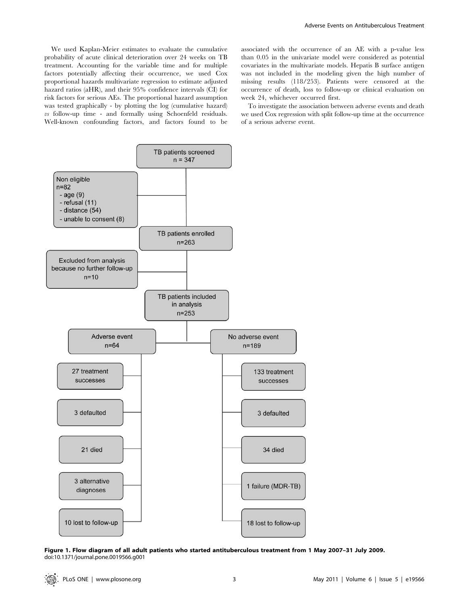We used Kaplan-Meier estimates to evaluate the cumulative probability of acute clinical deterioration over 24 weeks on TB treatment. Accounting for the variable time and for multiple factors potentially affecting their occurrence, we used Cox proportional hazards multivariate regression to estimate adjusted hazard ratios (aHR), and their 95% confidence intervals (CI) for risk factors for serious AEs. The proportional hazard assumption was tested graphically - by plotting the log (cumulative hazard) vs follow-up time - and formally using Schoenfeld residuals. Well-known confounding factors, and factors found to be associated with the occurrence of an AE with a p-value less than 0.05 in the univariate model were considered as potential covariates in the multivariate models. Hepatis B surface antigen was not included in the modeling given the high number of missing results (118/253). Patients were censored at the occurrence of death, loss to follow-up or clinical evaluation on week 24, whichever occurred first.

To investigate the association between adverse events and death we used Cox regression with split follow-up time at the occurrence of a serious adverse event.



Figure 1. Flow diagram of all adult patients who started antituberculous treatment from 1 May 2007–31 July 2009. doi:10.1371/journal.pone.0019566.g001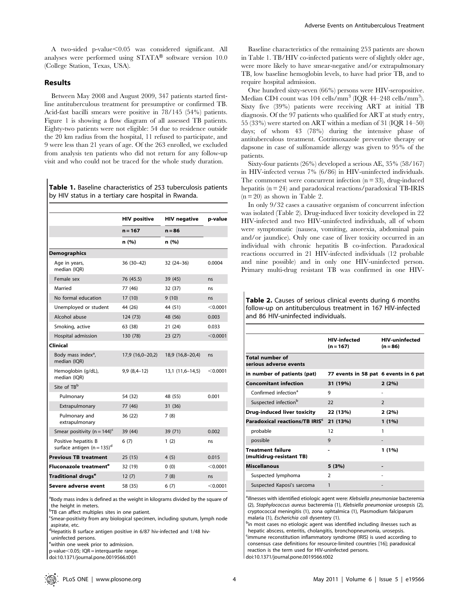A two-sided p-value<0.05 was considered significant. All analyses were performed using  $STATA^@$  software version 10.0 (College Station, Texas, USA).

# Results

Between May 2008 and August 2009, 347 patients started firstline antituberculous treatment for presumptive or confirmed TB. Acid-fast bacilli smears were positive in 78/145 (54%) patients. Figure 1 is showing a flow diagram of all assessed TB patients. Eighty-two patients were not eligible: 54 due to residence outside the 20 km radius from the hospital, 11 refused to participate, and 9 were less than 21 years of age. Of the 263 enrolled, we excluded from analysis ten patients who did not return for any follow-up visit and who could not be traced for the whole study duration.

Table 1. Baseline characteristics of 253 tuberculosis patients by HIV status in a tertiary care hospital in Rwanda.

|                                                                   | <b>HIV positive</b> | <b>HIV negative</b> | p-value    |
|-------------------------------------------------------------------|---------------------|---------------------|------------|
|                                                                   | $n = 167$           | $n = 86$            |            |
|                                                                   | n (%)               | n (%)               |            |
| <b>Demographics</b>                                               |                     |                     |            |
| Age in years,<br>median (IQR)                                     | $36(30-42)$         | $32(24-36)$         | 0.0004     |
| Female sex                                                        | 76 (45.5)           | 39 (45)             | ns         |
| Married                                                           | 77 (46)             | 32 (37)             | ns         |
| No formal education                                               | 17 (10)             | 9(10)               | ns         |
| Unemployed or student                                             | 44 (26)             | 44 (51)             | < 0.0001   |
| Alcohol abuse                                                     | 124 (73)            | 48 (56)             | 0.003      |
| Smoking, active                                                   | 63 (38)             | 21 (24)             | 0.033      |
| Hospital admission                                                | 130 (78)            | 23(27)              | < 0.0001   |
| Clinical                                                          |                     |                     |            |
| Body mass index <sup>a</sup> ,<br>median (IQR)                    | 17,9 (16,0-20,2)    | 18,9 (16,8-20,4)    | ns         |
| Hemoglobin (g/dL),<br>median (IOR)                                | $9,9(8,4-12)$       | 13,1 (11,6-14,5)    | $<$ 0.0001 |
| Site of TB <sup>b</sup>                                           |                     |                     |            |
| Pulmonary                                                         | 54 (32)             | 48 (55)             | 0.001      |
| Extrapulmonary                                                    | 77 (46)             | 31 (36)             |            |
| Pulmonary and<br>extrapulmonary                                   | 36 (22)             | 7(8)                |            |
| Smear positivity (n = $144$ ) <sup>c</sup>                        | 39 (44)             | 39 (71)             | 0.002      |
| Positive hepatitis B<br>surface antigen (n = $135$ ) <sup>d</sup> | 6(7)                | 1(2)                | ns         |
| <b>Previous TB treatment</b>                                      | 25 (15)             | 4(5)                | 0.015      |
| Fluconazole treatment <sup>e</sup>                                | 32 (19)             | 0(0)                | < 0.0001   |
| Traditional drugs <sup>e</sup>                                    | 12(7)               | 7(8)                | ns         |
| Severe adverse event                                              | 58 (35)             | 6(7)                | $<$ 0.0001 |

<sup>a</sup>Body mass index is defined as the weight in kilograms divided by the square of the height in meters.

<sup>b</sup>TB can affect multiples sites in one patient.

<sup>c</sup>Smear-positivity from any biological specimen, including sputum, lymph node aspirate, etc.

<sup>d</sup>Hepatitis B surface antigen positive in 6/87 hiv-infected and 1/48 hivuninfected persons.

ewithin one week prior to admission.

 $p$ -value $<$ 0.05; IOR = interquartile range.

doi:10.1371/journal.pone.0019566.t001

Baseline characteristics of the remaining 253 patients are shown in Table 1. TB/HIV co-infected patients were of slightly older age, were more likely to have smear-negative and/or extrapulmonary TB, low baseline hemoglobin levels, to have had prior TB, and to require hospital admission.

One hundred sixty-seven (66%) persons were HIV-seropositive. Median CD4 count was 104 cells/mm<sup>3</sup> (IQR 44–248 cells/mm<sup>3</sup>). Sixty five (39%) patients were receiving ART at initial TB diagnosis. Of the 97 patients who qualified for ART at study entry, 55 (33%) were started on ART within a median of 31 (IQR 14–50) days; of whom 43 (78%) during the intensive phase of antituberculous treatment. Cotrimoxazole preventive therapy or dapsone in case of sulfonamide allergy was given to 95% of the patients.

Sixty-four patients (26%) developed a serious AE, 35% (58/167) in HIV-infected versus 7% (6/86) in HIV-uninfected individuals. The commonest were concurrent infection  $(n = 33)$ , drug-induced hepatitis (n = 24) and paradoxical reactions/paradoxical TB-IRIS  $(n = 20)$  as shown in Table 2.

In only 9/32 cases a causative organism of concurrent infection was isolated (Table 2). Drug-induced liver toxicity developed in 22 HIV-infected and two HIV-uninfected individuals, all of whom were symptomatic (nausea, vomiting, anorexia, abdominal pain and/or jaundice). Only one case of liver toxicity occurred in an individual with chronic hepatitis B co-infection. Paradoxical reactions occurred in 21 HIV-infected individuals (12 probable and nine possible) and in only one HIV-uninfected person. Primary multi-drug resistant TB was confirmed in one HIV-

Table 2. Causes of serious clinical events during 6 months follow-up on antituberculous treatment in 167 HIV-infected and 86 HIV-uninfected individuals.

|                                                      | <b>HIV-infected</b><br>$(n = 167)$    | <b>HIV-uninfected</b><br>$(n = 86)$ |
|------------------------------------------------------|---------------------------------------|-------------------------------------|
| <b>Total number of</b><br>serious adverse events     |                                       |                                     |
| in number of patients (pat)                          | 77 events in 58 pat 6 events in 6 pat |                                     |
| <b>Concomitant infection</b>                         | 31 (19%)                              | 2(2%)                               |
| Confirmed infection <sup>a</sup>                     | 9                                     |                                     |
| Suspected infection <sup>b</sup>                     | 22                                    | $\mathcal{P}$                       |
| <b>Drug-induced liver toxicity</b>                   | 22 (13%)                              | 2(2%)                               |
| Paradoxical reactions/TB IRISC                       | 21 (13%)                              | 1(1%)                               |
| probable                                             | 12                                    | 1                                   |
| possible                                             | $\mathbf{Q}$                          |                                     |
| <b>Treatment failure</b><br>(multidrug-resistant TB) |                                       | $1(1\%)$                            |
| <b>Miscellanous</b>                                  | 5(3%)                                 |                                     |
| Suspected lymphoma                                   | $\mathcal{P}$                         |                                     |
| Suspected Kaposi's sarcoma                           | 1                                     |                                     |

<sup>a</sup>illnesses with identified etiologic agent were: Klebsiella pneumoniae bacteremia (2), Staphylococcus aureus bacteremia (1), Klebsiella pneumoniae urosepsis (2), cryptococcal meningitis (1), zona ophtalmica (1), Plasmodium falciparum malaria (1), Escherichia coli dysentery (1). <sup>b</sup>

<sup>2</sup>in most cases no etiologic agent was identified including ilnesses such as hepatic abscess, enteritis, cholangitis, bronchopneumonia, urosepsis. <sup>c</sup>immune reconstitution inflammatory syndrome (IRIS) is used according to consensus case definitions for resource-limited countries [16]; paradoxical reaction is the term used for HIV-uninfected persons. doi:10.1371/journal.pone.0019566.t002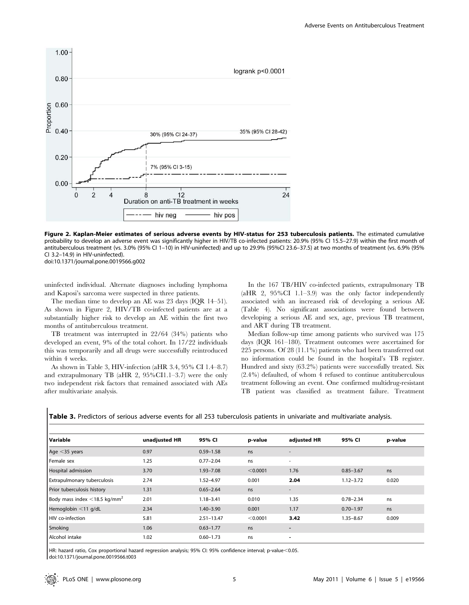![](_page_4_Figure_1.jpeg)

Figure 2. Kaplan-Meier estimates of serious adverse events by HIV-status for 253 tuberculosis patients. The estimated cumulative probability to develop an adverse event was significantly higher in HIV/TB co-infected patients: 20.9% (95% CI 15.5–27.9) within the first month of antituberculous treatment (vs. 3.0% (95% CI 1–10) in HIV-uninfected) and up to 29.9% (95%CI 23.6–37.5) at two months of treatment (vs. 6.9% (95% CI 3.2–14.9) in HIV-uninfected).

doi:10.1371/journal.pone.0019566.g002

uninfected individual. Alternate diagnoses including lymphoma and Kaposi's sarcoma were suspected in three patients.

The median time to develop an AE was 23 days (IQR 14–51). As shown in Figure 2, HIV/TB co-infected patients are at a substantially higher risk to develop an AE within the first two months of antituberculous treatment.

TB treatment was interrupted in 22/64 (34%) patients who developed an event, 9% of the total cohort. In 17/22 individuals this was temporarily and all drugs were successfully reintroduced within 4 weeks.

As shown in Table 3, HIV-infection (aHR 3.4, 95% CI 1.4–8.7) and extrapulmonary TB (aHR 2, 95%CI1.1–3.7) were the only two independent risk factors that remained associated with AEs after multivariate analysis.

In the 167 TB/HIV co-infected patients, extrapulmonary TB (aHR 2, 95%CI 1.1–3.9) was the only factor independently associated with an increased risk of developing a serious AE (Table 4). No significant associations were found between developing a serious AE and sex, age, previous TB treatment, and ART during TB treatment.

Median follow-up time among patients who survived was 175 days (IQR 161–180). Treatment outcomes were ascertained for 225 persons. Of 28 (11.1%) patients who had been transferred out no information could be found in the hospital's TB register. Hundred and sixty (63.2%) patients were successfully treated. Six (2.4%) defaulted, of whom 4 refused to continue antituberculous treatment following an event. One confirmed multidrug-resistant TB patient was classified as treatment failure. Treatment

Table 3. Predictors of serious adverse events for all 253 tuberculosis patients in univariate and multivariate analysis.

| Variable                                 | unadjusted HR | 95% CI         | p-value  | adjusted HR              | 95% CI        | p-value |
|------------------------------------------|---------------|----------------|----------|--------------------------|---------------|---------|
| Age $<$ 35 years                         | 0.97          | $0.59 - 1.58$  | ns       | $\overline{\phantom{a}}$ |               |         |
| Female sex                               | 1.25          | $0.77 - 2.04$  | ns       |                          |               |         |
| Hospital admission                       | 3.70          | $1.93 - 7.08$  | < 0.0001 | 1.76                     | $0.85 - 3.67$ | ns      |
| <b>Extrapulmonary tuberculosis</b>       | 2.74          | 1.52-4.97      | 0.001    | 2.04                     | $1.12 - 3.72$ | 0.020   |
| Prior tuberculosis history               | 1.31          | $0.65 - 2.64$  | ns       | $\overline{\phantom{a}}$ |               |         |
| Body mass index <18.5 kg/mm <sup>2</sup> | 2.01          | $1.18 - 3.41$  | 0.010    | 1.35                     | $0.78 - 2.34$ | ns      |
| Hemoglobin <11 g/dL                      | 2.34          | $1.40 - 3.90$  | 0.001    | 1.17                     | $0.70 - 1.97$ | ns      |
| HIV co-infection                         | 5.81          | $2.51 - 13.47$ | < 0.0001 | 3.42                     | $1.35 - 8.67$ | 0.009   |
| Smoking                                  | 1.06          | $0.63 - 1.77$  | ns       | $\overline{\phantom{a}}$ |               |         |
| Alcohol intake                           | 1.02          | $0.60 - 1.73$  | ns       | $\overline{\phantom{a}}$ |               |         |

HR: hazard ratio, Cox proportional hazard regression analysis; 95% CI: 95% confidence interval; p-value<0.05. doi:10.1371/journal.pone.0019566.t003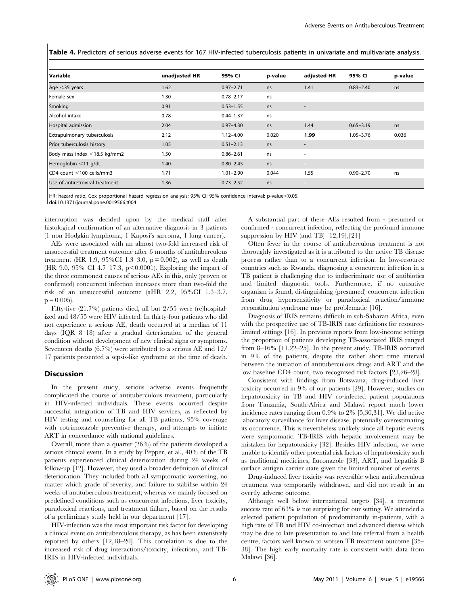Table 4. Predictors of serious adverse events for 167 HIV-infected tuberculosis patients in univariate and multivariate analysis.

| Variable                        | unadjusted HR | 95% CI        | p-value | adjusted HR              | 95% CI        | p-value |
|---------------------------------|---------------|---------------|---------|--------------------------|---------------|---------|
| Age $<$ 35 years                | 1.62          | $0.97 - 2.71$ | ns      | 1.41                     | $0.83 - 2.40$ | ns      |
| Female sex                      | 1.30          | $0.78 - 2.17$ | ns      | ٠                        |               |         |
| Smoking                         | 0.91          | $0.53 - 1.55$ | ns      | $\overline{\phantom{a}}$ |               |         |
| Alcohol intake                  | 0.78          | $0.44 - 1.37$ | ns      | $\overline{\phantom{a}}$ |               |         |
| Hospital admission              | 2.04          | $0.97 - 4.30$ | ns      | 1.44                     | $0.65 - 3.19$ | ns      |
| Extrapulmonary tuberculosis     | 2.12          | $1.12 - 4.00$ | 0.020   | 1.99                     | $1.05 - 3.76$ | 0.036   |
| Prior tuberculosis history      | 1.05          | $0.51 - 2.13$ | ns      | $\overline{\phantom{a}}$ |               |         |
| Body mass index <18.5 kg/mm2    | 1.50          | $0.86 - 2.61$ | ns      | ٠                        |               |         |
| Hemoglobin <11 g/dL             | 1.40          | $0.80 - 2.45$ | ns      | $\overline{\phantom{a}}$ |               |         |
| $CD4$ count $<$ 100 cells/mm3   | 1.71          | $1.01 - 2.90$ | 0.044   | 1.55                     | $0.90 - 2.70$ | ns      |
| Use of antiretroviral treatment | 1.36          | $0.73 - 2.52$ | ns      | -                        |               |         |

HR: hazard ratio, Cox proportional hazard regression analysis; 95% CI: 95% confidence interval; p-value<0.05. doi:10.1371/journal.pone.0019566.t004

interruption was decided upon by the medical staff after histological confirmation of an alternative diagnosis in 3 patients (1 non Hodgkin lymphoma, 1 Kaposi's sarcoma, 1 lung cancer).

AEs were associated with an almost two-fold increased risk of unsuccessful treatment outcome after 6 months of antituberculous treatment (HR 1.9, 95%CI 1.3–3.0,  $p = 0.002$ ), as well as death (HR 9.0, 95% CI 4.7–17.3, p $\leq$ 0.0001). Exploring the impact of the three commonest causes of serious AEs in this, only (proven or confirmed) concurrent infection increases more than two-fold the risk of an unsuccessful outcome (aHR 2.2, 95%CI 1.3–3.7,  $p = 0.005$ ).

Fifty-five (21.7%) patients died, all but 2/55 were (re)hospitalized and 48/55 were HIV infected. In thirty-four patients who did not experience a serious AE, death occurred at a median of 11 days (IQR 8–18) after a gradual deterioration of the general condition without development of new clinical signs or symptoms. Seventeen deaths (6.7%) were attributed to a serious AE and 12/ 17 patients presented a sepsis-like syndrome at the time of death.

## **Discussion**

In the present study, serious adverse events frequently complicated the course of antituberculous treatment, particularly in HIV-infected individuals. These events occurred despite successful integration of TB and HIV services, as reflected by HIV testing and counselling for all TB patients, 95% coverage with cotrimoxazole preventive therapy, and attempts to initiate ART in concordance with national guidelines.

Overall, more than a quarter (26%) of the patients developed a serious clinical event. In a study by Pepper, et al., 40% of the TB patients experienced clinical deterioration during 24 weeks of follow-up [12]. However, they used a broader definition of clinical deterioration. They included both all symptomatic worsening, no matter which grade of severity, and failure to stabilise within 24 weeks of antituberculous treatment; whereas we mainly focused on predefined conditions such as concurrent infections, liver toxicity, paradoxical reactions, and treatment failure, based on the results of a preliminary study held in our department [17].

HIV-infection was the most important risk factor for developing a clinical event on antituberculous therapy, as has been extensively reported by others [12,18–20]. This correlation is due to the increased risk of drug interactions/toxicity, infections, and TB-IRIS in HIV-infected individuals.

A substantial part of these AEs resulted from - presumed or confirmed - concurrent infection, reflecting the profound immune suppression by HIV (and TB) [12,19],[21]

Often fever in the course of antituberculous treatment is not thoroughly investigated as it is attributed to the active TB disease process rather than to a concurrent infection. In low-resource countries such as Rwanda, diagnosing a concurrent infection in a TB patient is challenging due to indiscriminate use of antibiotics and limited diagnostic tools. Furthermore, if no causative organism is found, distinguishing (presumed) concurrent infection from drug hypersensitivity or paradoxical reaction/immune reconstitution syndrome may be problematic [16].

Diagnosis of IRIS remains difficult in sub-Saharan Africa, even with the prospective use of TB-IRIS case definitions for resourcelimited settings [16]. In previous reports from low-income settings the proportion of patients developing TB-associated IRIS ranged from 8–16% [11,22–25]. In the present study, TB-IRIS occurred in 9% of the patients, despite the rather short time interval between the initiation of antituberculous drugs and ART and the low baseline CD4 count, two recognised risk factors [23,26–28].

Consistent with findings from Botswana, drug-induced liver toxicity occurred in 9% of our patients [29]. However, studies on hepatotoxicity in TB and HIV co-infected patient populations from Tanzania, South-Africa and Malawi report much lower incidence rates ranging from 0.9% to 2% [5,30,31]. We did active laboratory surveillance for liver disease, potentially overestimating its occurrence. This is nevertheless unlikely since all hepatic events were symptomatic. TB-IRIS with hepatic involvement may be mistaken for hepatotoxicity [32]. Besides HIV infection, we were unable to identify other potential risk factors of hepatotoxicity such as traditional medicines, fluconazole [33], ART, and hepatitis B surface antigen carrier state given the limited number of events.

Drug-induced liver toxicity was reversible when antituberculous treatment was temporarily withdrawn, and did not result in an overtly adverse outcome.

Although well below international targets [34], a treatment success rate of 63% is not surprising for our setting. We attended a selected patient population of predominantly in-patients, with a high rate of TB and HIV co-infection and advanced disease which may be due to late presentation to and late referral from a health centre, factors well known to worsen TB treatment outcome [35– 38]. The high early mortality rate is consistent with data from Malawi [36].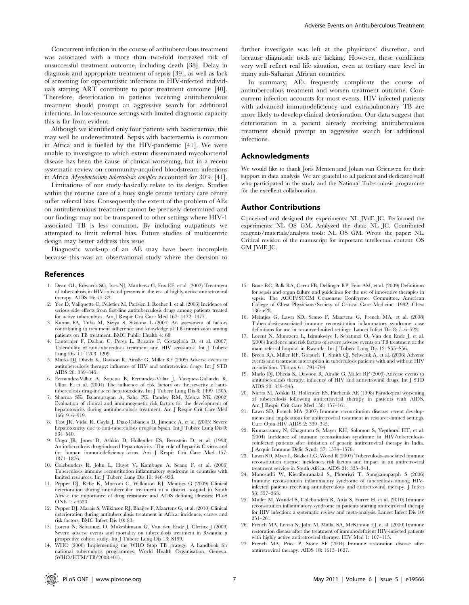Concurrent infection in the course of antituberculous treatment was associated with a more than two-fold increased risk of unsuccessful treatment outcome, including death [38]. Delay in diagnosis and appropriate treatment of sepsis [39], as well as lack of screening for opportunistic infections in HIV-infected individuals starting ART contribute to poor treatment outcome [40]. Therefore, deterioration in patients receiving antituberculous treatment should prompt an aggressive search for additional infections. In low-resource settings with limited diagnostic capacity this is far from evident.

Although we identified only four patients with bacteraemia, this may well be underestimated. Sepsis with bacteraemia is common in Africa and is fuelled by the HIV-pandemic [41]. We were unable to investigate to which extent disseminated mycobacterial disease has been the cause of clinical worsening, but in a recent systematic review on community-acquired bloodstream infections in Africa Mycobacterium tuberculosis complex accounted for 30% [41].

Limitations of our study basically relate to its design. Studies within the routine care of a busy single centre tertiary care centre suffer referral bias. Consequently the extent of the problem of AEs on antituberculous treatment cannot be precisely determined and our findings may not be transposed to other settings where HIV-1 associated TB is less common. By including outpatients we attempted to limit referral bias. Future studies of multicentric design may better address this issue.

Diagnostic work-up of an AE may have been incomplete because this was an observational study where the decision to

## References

- 1. Dean GL, Edwards SG, Ives NJ, Matthews G, Fox EF, et al. (2002) Treatment of tuberculosis in HIV-infected persons in the era of highly active antiretroviral therapy. AIDS 16: 75–83.
- 2. Yee D, Valiquette C, Pelletier M, Parisien I, Rocher I, et al. (2003) Incidence of serious side effects from first-line antituberculosis drugs among patients treated for active tuberculosis. Am J Respir Crit Care Med 167: 1472–1477.
- 3. Kaona FA, Tuba M, Siziya S, Sikaona L (2004) An assessment of factors contributing to treatment adherence and knowledge of TB transmission among patients on TB treatment. BMC Public Health 4: 68.
- 4. Lanternier F, Dalban C, Perez L, Bricaire F, Costagliola D, et al. (2007) Tolerability of anti-tuberculosis treatment and HIV serostatus. Int J Tuberc Lung Dis 11: 1203–1209.
- 5. Marks DJ, Dheda K, Dawson R, Ainslie G, Miller RF (2009) Adverse events to antituberculosis therapy: influence of HIV and antiretroviral drugs. Int J STD AIDS 20: 339–345.
- 6. Fernandez-Villar A, Sopena B, Fernandez-Villar J, Vazquez-Gallardo R, Ulloa F, et al. (2004) The influence of risk factors on the severity of antituberculosis drug-induced hepatotoxicity. Int J Tuberc Lung Dis 8: 1499–1505.
- 7. Sharma SK, Balamurugan A, Saha PK, Pandey RM, Mehra NK (2002) Evaluation of clinical and immunogenetic risk factors for the development of hepatotoxicity during antituberculosis treatment. Am J Respir Crit Care Med 166: 916–919.
- 8. Tost JR, Vidal R, Cayla J, Diaz-Cabanela D, Jimenez A, et al. (2005) Severe hepatotoxicity due to anti-tuberculosis drugs in Spain. Int J Tuberc Lung Dis 9: 534–540.
- 9. Ungo JR, Jones D, Ashkin D, Hollender ES, Bernstein D, et al. (1998) Antituberculosis drug-induced hepatotoxicity. The role of hepatitis C virus and the human immunodeficiency virus. Am J Respir Crit Care Med 157: 1871–1876.
- 10. Colebunders R, John L, Huyst V, Kambugu A, Scano F, et al. (2006) Tuberculosis immune reconstitution inflammatory syndrome in countries with limited resources. Int J Tuberc Lung Dis 10: 946–953.
- 11. Pepper DJ, Rebe K, Morroni C, Wilkinson RJ, Meintjes G (2009) Clinical deterioration during antitubercular treatment at a district hospital in South Africa: the importance of drug resistance and AIDS defining illnesses. PLoS ONE 4: e4520.
- 12. Pepper DJ, Marais S, Wilkinson RJ, Bhaijee F, Maartens G, et al. (2010) Clinical deterioration during antituberculosis treatment in Africa: incidence, causes and risk factors. BMC Infect Dis 10: 83.
- 13. Lorent N, Sebatunzi O, Mukeshimana G, Van den Ende J, Clerinx J (2009) Severe adverse events and mortality on tuberculosis treatment in Rwanda: a prospective cohort study. Int J Tuberc Lung Dis 13: S199.
- 14. WHO (2008) Implementing the WHO Stop TB strategy. A handbook for national tuberculosis programmes. World Health Organisation, Geneva. (WHO/HTM/TB/2008.401).

further investigate was left at the physicians' discretion, and because diagnostic tools are lacking. However, these conditions very well reflect real life situation, even at tertiary care level in many sub-Saharan African countries.

In summary, AEs frequently complicate the course of antituberculous treatment and worsen treatment outcome. Concurrent infection accounts for most events. HIV infected patients with advanced immunodeficiency and extrapulmonary TB are more likely to develop clinical deterioration. Our data suggest that deterioration in a patient already receiving antituberculous treatment should prompt an aggressive search for additional infections.

## Acknowledgments

We would like to thank Joris Menten and Johan van Griensven for their support in data analysis. We are grateful to all patients and dedicated staff who participated in the study and the National Tuberculosis programme for the excellent collaboration.

## Author Contributions

Conceived and designed the experiments: NL JVdE JC. Performed the experiments: NL OS GM. Analyzed the data: NL JC. Contributed reagents/materials/analysis tools: NL OS GM. Wrote the paper: NL. Critical revision of the manuscript for important intellectual content: OS GM JVdE JC.

- 15. Bone RC, Balk RA, Cerra FB, Dellinger RP, Fein AM, et al. (2009) Definitions for sepsis and organ failure and guidelines for the use of innovative therapies in sepsis. The ACCP/SCCM Consensus Conference Committee. American College of Chest Physicians/Society of Critical Care Medicine. 1992. Chest 136: e28.
- 16. Meintjes G, Lawn SD, Scano F, Maartens G, French MA, et al. (2008) Tuberculosis-associated immune reconstitution inflammatory syndrome: case definitions for use in resource-limited settings. Lancet Infect Dis 8: 516–523.
- 17. Lorent N, Munezero L, Izimukwiye I, Sebatunzi O, Van den Ende J, et al. (2008) Incidence and risk factors of severe adverse events on TB treatment at the main referral hospital in Rwanda. Int J Tuberc Lung Dis 12: S55–S56.
- 18. Breen RA, Miller RF, Gorsuch T, Smith CJ, Schwenk A, et al. (2006) Adverse events and treatment interruption in tuberculosis patients with and without HIV co-infection. Thorax 61: 791–794.
- 19. Marks DJ, Dheda K, Dawson R, Ainslie G, Miller RF (2009) Adverse events to antituberculosis therapy: influence of HIV and antiretroviral drugs. Int J STD AIDS 20: 339–345.
- 20. Narita M, Ashkin D, Hollender ES, Pitchenik AE (1998) Paradoxical worsening of tuberculosis following antiretroviral therapy in patients with AIDS. Am J Respir Crit Care Med 158: 157–161.
- 21. Lawn SD, French MA (2007) Immune reconstitution disease: recent developments and implications for antiretroviral treatment in resource-limited settings. Curr Opin HIV AIDS 2: 339–345.
- 22. Kumarasamy N, Chaguturu S, Mayer KH, Solomon S, Yepthomi HT, et al. (2004) Incidence of immune reconstitution syndrome in HIV/tuberculosiscoinfected patients after initiation of generic antiretroviral therapy in India. J Acquir Immune Defic Syndr 37: 1574–1576.
- 23. Lawn SD, Myer L, Bekker LG, Wood R (2007) Tuberculosis-associated immune reconstitution disease: incidence, risk factors and impact in an antiretroviral treatment service in South Africa. AIDS 21: 335–341.
- 24. Manosuthi W, Kiertiburanakul S, Phoorisri T, Sungkanuparph S (2006) Immune reconstitution inflammatory syndrome of tuberculosis among HIVinfected patients receiving antituberculous and antiretroviral therapy. J Infect 53: 357–363.
- 25. Muller M, Wandel S, Colebunders R, Attia S, Furrer H, et al. (2010) Immune reconstitution inflammatory syndrome in patients starting antiretroviral therapy for HIV infection: a systematic review and meta-analysis. Lancet Infect Dis 10: 251–261.
- 26. French MA, Lenzo N, John M, Mallal SA, McKinnon EJ, et al. (2000) Immune restoration disease after the treatment of immunodeficient HIV-infected patients with highly active antiretroviral therapy. HIV Med 1: 107–115.
- 27. French MA, Price P, Stone SF (2004) Immune restoration disease after antiretroviral therapy. AIDS 18: 1615–1627.